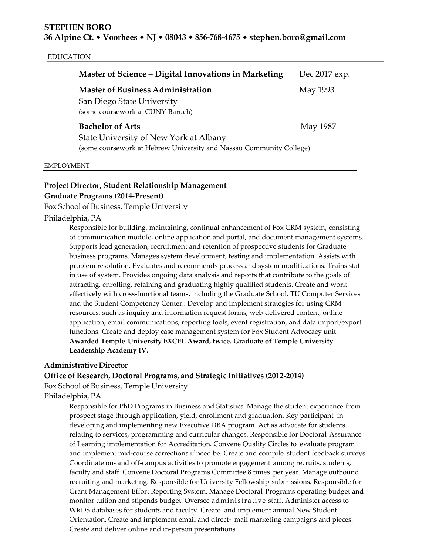### EDUCATION

| Master of Science - Digital Innovations in Marketing                                                                                     | Dec 2017 exp. |
|------------------------------------------------------------------------------------------------------------------------------------------|---------------|
| <b>Master of Business Administration</b><br>San Diego State University<br>(some coursework at CUNY-Baruch)                               | May 1993      |
| <b>Bachelor of Arts</b><br>State University of New York at Albany<br>(some coursework at Hebrew University and Nassau Community College) | May 1987      |

#### EMPLOYMENT

# **Project Director, Student Relationship Management Graduate Programs (2014-Present)**

Fox School of Business, Temple University

# Philadelphia, PA

Responsible for building, maintaining, continual enhancement of Fox CRM system, consisting of communication module, online application and portal, and document management systems. Supports lead generation, recruitment and retention of prospective students for Graduate business programs. Manages system development, testing and implementation. Assists with problem resolution. Evaluates and recommends process and system modifications. Trains staff in use of system. Provides ongoing data analysis and reports that contribute to the goals of attracting, enrolling, retaining and graduating highly qualified students. Create and work effectively with cross-functional teams, including the Graduate School, TU Computer Services and the Student Competency Center.. Develop and implement strategies for using CRM resources, such as inquiry and information request forms, web-delivered content, online application, email communications, reporting tools, event registration, and data import/export functions. Create and deploy case management system for Fox Student Advocacy unit. **Awarded Temple University EXCEL Award, twice. Graduate of Temple University Leadership Academy IV.**

### **Administrative Director**

# **Office of Research, Doctoral Programs, and Strategic Initiatives (2012-2014)**

Fox School of Business, Temple University

# Philadelphia, PA

Responsible for PhD Programs in Business and Statistics. Manage the student experience from prospect stage through application, yield, enrollment and graduation. Key participant in developing and implementing new Executive DBA program. Act as advocate for students relating to services, programming and curricular changes. Responsible for Doctoral Assurance of Learning implementation for Accreditation. Convene Quality Circles to evaluate program and implement mid-course corrections if need be. Create and compile student feedback surveys. Coordinate on- and off-campus activities to promote engagement among recruits, students, faculty and staff. Convene Doctoral Programs Committee 8 times per year. Manage outbound recruiting and marketing. Responsible for University Fellowship submissions. Responsible for Grant Management Effort Reporting System. Manage Doctoral Programs operating budget and monitor tuition and stipends budget. Oversee administrative staff. Administer access to WRDS databases for students and faculty. Create and implement annual New Student Orientation. Create and implement email and direct- mail marketing campaigns and pieces. Create and deliver online and in-person presentations.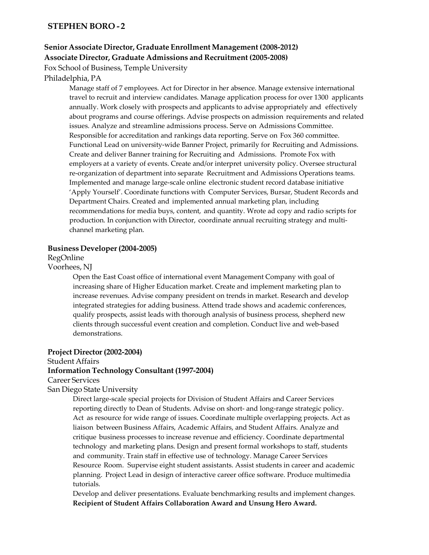# **STEPHEN BORO - 2**

# **Senior Associate Director, Graduate Enrollment Management (2008-2012) Associate Director, Graduate Admissions and Recruitment (2005-2008)**

Fox School of Business, Temple University

# Philadelphia, PA

Manage staff of 7 employees. Act for Director in her absence. Manage extensive international travel to recruit and interview candidates. Manage application process for over 1300 applicants annually. Work closely with prospects and applicants to advise appropriately and effectively about programs and course offerings. Advise prospects on admission requirements and related issues. Analyze and streamline admissions process. Serve on Admissions Committee. Responsible for accreditation and rankings data reporting. Serve on Fox 360 committee. Functional Lead on university-wide Banner Project, primarily for Recruiting and Admissions. Create and deliver Banner training for Recruiting and Admissions. Promote Fox with employers at a variety of events. Create and/or interpret university policy. Oversee structural re-organization of department into separate Recruitment and Admissions Operations teams. Implemented and manage large-scale online electronic student record database initiative 'Apply Yourself'. Coordinate functions with Computer Services, Bursar, Student Records and Department Chairs. Created and implemented annual marketing plan, including recommendations for media buys, content, and quantity. Wrote ad copy and radio scripts for production. In conjunction with Director, coordinate annual recruiting strategy and multichannel marketing plan.

### **Business Developer(2004-2005)**

RegOnline

### Voorhees, NJ

Open the East Coast office of international event Management Company with goal of increasing share of Higher Education market. Create and implement marketing plan to increase revenues. Advise company president on trends in market. Research and develop integrated strategies for adding business. Attend trade shows and academic conferences, qualify prospects, assist leads with thorough analysis of business process, shepherd new clients through successful event creation and completion. Conduct live and web-based demonstrations.

### **Project Director(2002-2004)**

## Student Affairs

## **Information Technology Consultant (1997-2004)**

### Career Services

San Diego State University

Direct large-scale special projects for Division of Student Affairs and Career Services reporting directly to Dean of Students. Advise on short- and long-range strategic policy. Act as resource for wide range of issues. Coordinate multiple overlapping projects. Act as liaison between Business Affairs, Academic Affairs, and Student Affairs. Analyze and critique business processes to increase revenue and efficiency. Coordinate departmental technology and marketing plans. Design and present formal workshops to staff, students and community. Train staff in effective use of technology. Manage Career Services Resource Room. Supervise eight student assistants. Assist students in career and academic planning. Project Lead in design of interactive career office software. Produce multimedia tutorials.

Develop and deliver presentations. Evaluate benchmarking results and implement changes. **Recipient of Student Affairs Collaboration Award and Unsung Hero Award.**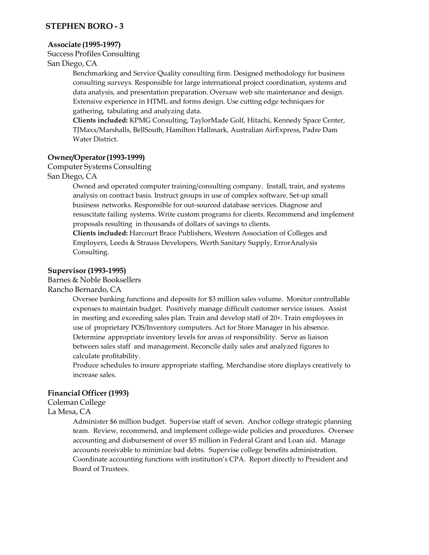# **STEPHEN BORO - 3**

### **Associate (1995-1997)**

Success Profiles Consulting

San Diego, CA

Benchmarking and Service Quality consulting firm. Designed methodology for business consulting surveys. Responsible for large international project coordination, systems and data analysis, and presentation preparation. Oversaw web site maintenance and design. Extensive experience in HTML and forms design. Use cutting edge techniques for gathering, tabulating and analyzing data.

**Clients included:** KPMG Consulting, TaylorMade Golf, Hitachi, Kennedy Space Center, TJMaxx/Marshalls, BellSouth, Hamilton Hallmark, Australian AirExpress, Padre Dam Water District.

# **Owner/Operator(1993-1999)**

### Computer Systems Consulting

## San Diego, CA

Owned and operated computer training/consulting company. Install, train, and systems analysis on contract basis. Instruct groups in use of complex software. Set-up small business networks. Responsible for out-sourced database services. Diagnose and resuscitate failing systems. Write custom programs for clients. Recommend and implement proposals resulting in thousands of dollars of savings to clients.

**Clients included:** Harcourt Brace Publishers, Western Association of Colleges and Employers, Leeds & Strauss Developers, Werth Sanitary Supply, ErrorAnalysis Consulting.

## **Supervisor(1993-1995)**

Barnes & Noble Booksellers

Rancho Bernardo, CA

Oversee banking functions and deposits for \$3 million sales volume. Monitor controllable expenses to maintain budget. Positively manage difficult customer service issues. Assist in meeting and exceeding sales plan. Train and develop staff of 20+. Train employees in use of proprietary POS/Inventory computers. Act for Store Manager in his absence. Determine appropriate inventory levels for areas of responsibility. Serve as liaison between sales staff and management. Reconcile daily sales and analyzed figures to calculate profitability.

Produce schedules to insure appropriate staffing. Merchandise store displays creatively to increase sales.

# **Financial Officer (1993)**

# Coleman College

La Mesa, CA

Administer \$6 million budget. Supervise staff of seven. Anchor college strategic planning team. Review, recommend, and implement college-wide policies and procedures. Oversee accounting and disbursement of over \$5 million in Federal Grant and Loan aid. Manage accounts receivable to minimize bad debts. Supervise college benefits administration. Coordinate accounting functions with institution's CPA. Report directly to President and Board of Trustees.